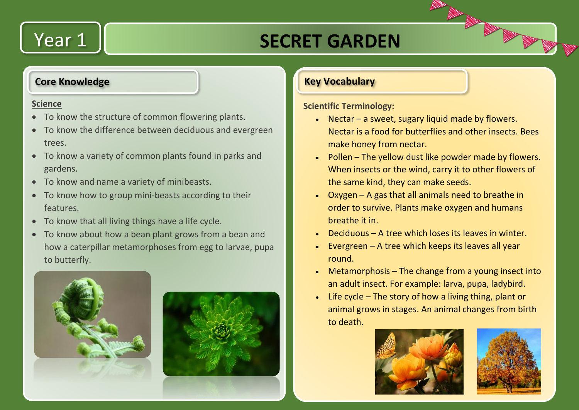## Year 1

## **SECRET GARDEN**

#### **Core Knowledge**

#### **Science**

- To know the structure of common flowering plants.
- To know the difference between deciduous and evergreen trees.
- To know a variety of common plants found in parks and gardens.
- To know and name a variety of minibeasts.
- To know how to group mini-beasts according to their features.
- To know that all living things have a life cycle.
- To know about how a bean plant grows from a bean and how a caterpillar metamorphoses from egg to larvae, pupa to butterfly.





#### **Key Vocabulary**

**Scientific Terminology:**

- Nectar a sweet, sugary liquid made by flowers. Nectar is a food for butterflies and other insects. Bees make honey from nectar.
- Pollen The yellow dust like powder made by flowers. When insects or the wind, carry it to other flowers of the same kind, they can make seeds.
- Oxygen A gas that all animals need to breathe in order to survive. Plants make oxygen and humans breathe it in.
- $\bullet$  Deciduous A tree which loses its leaves in winter.
- $\cdot$  Evergreen A tree which keeps its leaves all year round.
- Metamorphosis The change from a young insect into an adult insect. For example: larva, pupa, ladybird.
- $\bullet$  Life cycle The story of how a living thing, plant or animal grows in stages. An animal changes from birth to death.



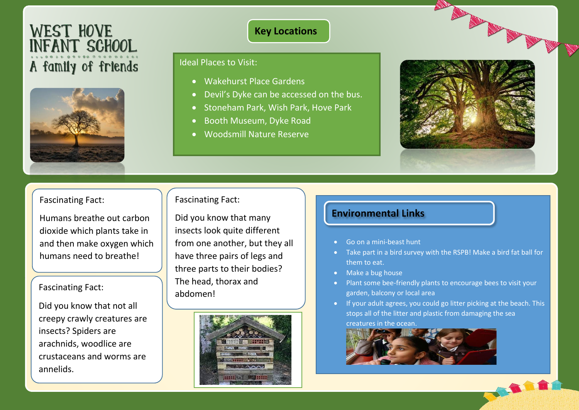# WEST HOVE<br>INFANT SCHOOL A family of friends



#### **Key Locations**

#### Ideal Places to Visit:

- Wakehurst Place Gardens
- Devil's Dyke can be accessed on the bus.
- Stoneham Park, Wish Park, Hove Park
- Booth Museum, Dyke Road
- Woodsmill Nature Reserve



#### Fascinating Fact:

Humans breathe out carbon dioxide which plants take in and then make oxygen which humans need to breathe!

### $\sqrt{\frac{5}{10}}$  Fascinating Fact:

Did you know that not all creepy crawly creatures are insects? Spiders are arachnids, woodlice are crustaceans and worms are annelids.

#### Fascinating Fact:

Did you know that many insects look quite different from one another, but they all have three pairs of legs and three parts to their bodies? The head, thorax and abdomen!



#### **Environmental Links**

- Go on a mini-beast hunt
- Take part in a bird survey with the RSPB! Make a bird fat ball for them to eat.
- Make a bug house
- Plant some bee-friendly plants to encourage bees to visit your garden, balcony or local area
- If your adult agrees, you could go litter picking at the beach. This stops all of the litter and plastic from damaging the sea creatures in the ocean.